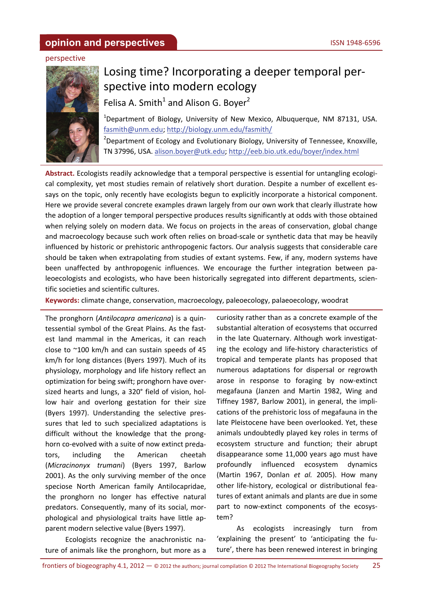# **opinion and perspectives**

## perspective



# Losing time? Incorporating a deeper temporal per‐ spective into modern ecology

Felisa A. Smith<sup>1</sup> and Alison G. Boyer<sup>2</sup>

<sup>1</sup>Department of Biology, University of New Mexico, Albuquerque, NM 87131, USA. [fasmith@unm.edu;](mailto:fasmith@unm.edu) <http://biology.unm.edu/fasmith/>

<sup>2</sup>Department of Ecology and Evolutionary Biology, University of Tennessee, Knoxville, TN 37996, USA. [alison.boyer@utk.edu;](mailto:alison.boyer@utk.edu) <http://eeb.bio.utk.edu/boyer/index.html>

**Abstract.** Ecologists readily acknowledge that a temporal perspective is essential for untangling ecologi‐ cal complexity, yet most studies remain of relatively short duration. Despite a number of excellent es‐ says on the topic, only recently have ecologists begun to explicitly incorporate a historical component. Here we provide several concrete examples drawn largely from our own work that clearly illustrate how the adoption of a longer temporal perspective produces results significantly at odds with those obtained when relying solely on modern data. We focus on projects in the areas of conservation, global change and macroecology because such work often relies on broad-scale or synthetic data that may be heavily influenced by historic or prehistoric anthropogenic factors. Our analysis suggests that considerable care should be taken when extrapolating from studies of extant systems. Few, if any, modern systems have been unaffected by anthropogenic influences. We encourage the further integration between paleoecologists and ecologists, who have been historically segregated into different departments, scientific societies and scientific cultures.

**Keywords:** climate change, conservation, macroecology, paleoecology, palaeoecology, woodrat

The pronghorn (*Antilocapra americana*) is a quin‐ tessential symbol of the Great Plains. As the fast‐ est land mammal in the Americas, it can reach close to ~100 km/h and can sustain speeds of 45 km/h for long distances (Byers 1997). Much of its physiology, morphology and life history reflect an optimization for being swift; pronghorn have over‐ sized hearts and lungs, a 320° field of vision, hol‐ low hair and overlong gestation for their size (Byers 1997). Understanding the selective pres‐ sures that led to such specialized adaptations is difficult without the knowledge that the prong‐ horn co-evolved with a suite of now extinct predators, including the American cheetah (*Micracinonyx trumani*) (Byers 1997, Barlow 2001). As the only surviving member of the once speciose North American family Antilocapridae, the pronghorn no longer has effective natural predators. Consequently, many of its social, mor‐ phological and physiological traits have little ap‐ parent modern selective value (Byers 1997).

Ecologists recognize the anachronistic na‐ ture of animals like the pronghorn, but more as a curiosity rather than as a concrete example of the substantial alteration of ecosystems that occurred in the late Quaternary. Although work investigating the ecology and life‐history characteristics of tropical and temperate plants has proposed that numerous adaptations for dispersal or regrowth arose in response to foraging by now‐extinct megafauna (Janzen and Martin 1982, Wing and Tiffney 1987, Barlow 2001), in general, the impli‐ cations of the prehistoric loss of megafauna in the late Pleistocene have been overlooked. Yet, these animals undoubtedly played key roles in terms of ecosystem structure and function; their abrupt disappearance some 11,000 years ago must have profoundly influenced ecosystem dynamics (Martin 1967, Donlan *et al.* 2005). How many other life-history, ecological or distributional features of extant animals and plants are due in some part to now-extinct components of the ecosystem?

As ecologists increasingly turn from 'explaining the present' to 'anticipating the fu‐ ture', there has been renewed interest in bringing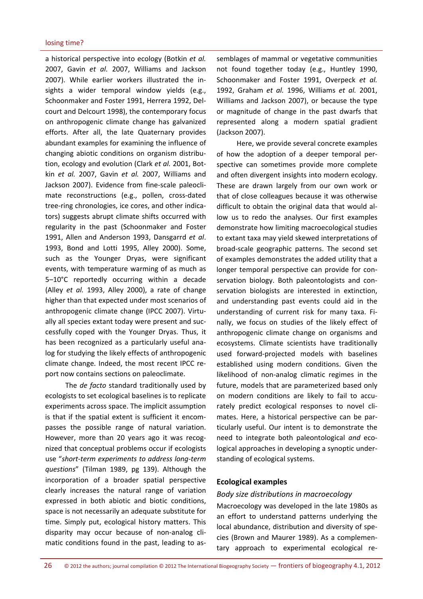a historical perspective into ecology (Botkin *et al.* 2007, Gavin *et al.* 2007, Williams and Jackson 2007). While earlier workers illustrated the in‐ sights a wider temporal window yields (e.g., Schoonmaker and Foster 1991, Herrera 1992, Del‐ court and Delcourt 1998), the contemporary focus on anthropogenic climate change has galvanized efforts. After all, the late Quaternary provides abundant examples for examining the influence of changing abiotic conditions on organism distribu‐ tion, ecology and evolution (Clark *et al.* 2001, Bot‐ kin *et al.* 2007, Gavin *et al.* 2007, Williams and Jackson 2007). Evidence from fine‐scale paleocli‐ mate reconstructions (e.g., pollen, cross-dated tree‐ring chronologies, ice cores, and other indica‐ tors) suggests abrupt climate shifts occurred with regularity in the past (Schoonmaker and Foster 1991, Allen and Anderson 1993, Dansgarrd *et al*. 1993, Bond and Lotti 1995, Alley 2000). Some, such as the Younger Dryas, were significant events, with temperature warming of as much as 5–10°C reportedly occurring within a decade (Alley *et al.* 1993, Alley 2000), a rate of change higher than that expected under most scenarios of anthropogenic climate change (IPCC 2007). Virtu‐ ally all species extant today were present and suc‐ cessfully coped with the Younger Dryas. Thus, it has been recognized as a particularly useful ana‐ log for studying the likely effects of anthropogenic climate change. Indeed, the most recent IPCC re‐ port now contains sections on paleoclimate.

The *de facto* standard traditionally used by ecologists to set ecological baselines is to replicate experiments across space. The implicit assumption is that if the spatial extent is sufficient it encom‐ passes the possible range of natural variation. However, more than 20 years ago it was recog‐ nized that conceptual problems occur if ecologists use "*short‐term experiments to address long‐term questions*" (Tilman 1989, pg 139). Although the incorporation of a broader spatial perspective clearly increases the natural range of variation expressed in both abiotic and biotic conditions, space is not necessarily an adequate substitute for time. Simply put, ecological history matters. This disparity may occur because of non‐analog cli‐ matic conditions found in the past, leading to as‐

semblages of mammal or vegetative communities not found together today (e.g., Huntley 1990, Schoonmaker and Foster 1991, Overpeck *et al.* 1992, Graham *et al.* 1996, Williams *et al.* 2001, Williams and Jackson 2007), or because the type or magnitude of change in the past dwarfs that represented along a modern spatial gradient (Jackson 2007).

Here, we provide several concrete examples of how the adoption of a deeper temporal per‐ spective can sometimes provide more complete and often divergent insights into modern ecology. These are drawn largely from our own work or that of close colleagues because it was otherwise difficult to obtain the original data that would al‐ low us to redo the analyses. Our first examples demonstrate how limiting macroecological studies to extant taxa may yield skewed interpretations of broad‐scale geographic patterns. The second set of examples demonstrates the added utility that a longer temporal perspective can provide for conservation biology. Both paleontologists and con‐ servation biologists are interested in extinction, and understanding past events could aid in the understanding of current risk for many taxa. Fi‐ nally, we focus on studies of the likely effect of anthropogenic climate change on organisms and ecosystems. Climate scientists have traditionally used forward‐projected models with baselines established using modern conditions. Given the likelihood of non‐analog climatic regimes in the future, models that are parameterized based only on modern conditions are likely to fail to accu‐ rately predict ecological responses to novel cli‐ mates. Here, a historical perspective can be par‐ ticularly useful. Our intent is to demonstrate the need to integrate both paleontological *and* eco‐ logical approaches in developing a synoptic under‐ standing of ecological systems.

#### **Ecological examples**

#### *Body size distributions in macroecology*

Macroecology was developed in the late 1980s as an effort to understand patterns underlying the local abundance, distribution and diversity of spe‐ cies (Brown and Maurer 1989). As a complemen‐ tary approach to experimental ecological re‐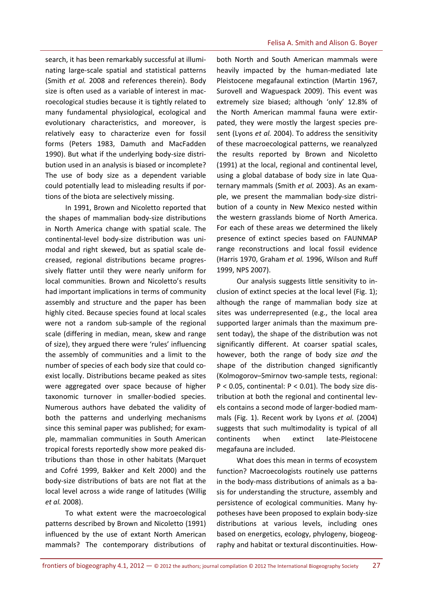search, it has been remarkably successful at illumi‐ nating large‐scale spatial and statistical patterns (Smith *et al.* 2008 and references therein). Body size is often used as a variable of interest in mac‐ roecological studies because it is tightly related to many fundamental physiological, ecological and evolutionary characteristics, and moreover, is relatively easy to characterize even for fossil forms (Peters 1983, Damuth and MacFadden 1990). But what if the underlying body‐size distri‐ bution used in an analysis is biased or incomplete? The use of body size as a dependent variable could potentially lead to misleading results if por‐ tions of the biota are selectively missing.

In 1991, Brown and Nicoletto reported that the shapes of mammalian body‐size distributions in North America change with spatial scale. The continental‐level body‐size distribution was uni‐ modal and right skewed, but as spatial scale de‐ creased, regional distributions became progres‐ sively flatter until they were nearly uniform for local communities. Brown and Nicoletto's results had important implications in terms of community assembly and structure and the paper has been highly cited. Because species found at local scales were not a random sub-sample of the regional scale (differing in median, mean, skew and range of size), they argued there were 'rules' influencing the assembly of communities and a limit to the number of species of each body size that could co‐ exist locally. Distributions became peaked as sites were aggregated over space because of higher taxonomic turnover in smaller‐bodied species. Numerous authors have debated the validity of both the patterns and underlying mechanisms since this seminal paper was published; for exam‐ ple, mammalian communities in South American tropical forests reportedly show more peaked dis‐ tributions than those in other habitats (Marquet and Cofré 1999, Bakker and Kelt 2000) and the body‐size distributions of bats are not flat at the local level across a wide range of latitudes (Willig *et al.* 2008).

To what extent were the macroecological patterns described by Brown and Nicoletto (1991) influenced by the use of extant North American mammals? The contemporary distributions of both North and South American mammals were heavily impacted by the human‐mediated late Pleistocene megafaunal extinction (Martin 1967, Surovell and Waguespack 2009). This event was extremely size biased; although 'only' 12.8% of the North American mammal fauna were extir‐ pated, they were mostly the largest species pre‐ sent (Lyons *et al.* 2004). To address the sensitivity of these macroecological patterns, we reanalyzed the results reported by Brown and Nicoletto (1991) at the local, regional and continental level, using a global database of body size in late Qua‐ ternary mammals (Smith *et al.* 2003). As an exam‐ ple, we present the mammalian body‐size distri‐ bution of a county in New Mexico nested within the western grasslands biome of North America. For each of these areas we determined the likely presence of extinct species based on FAUNMAP range reconstructions and local fossil evidence (Harris 1970, Graham *et al.* 1996, Wilson and Ruff 1999, NPS 2007).

Our analysis suggests little sensitivity to in‐ clusion of extinct species at the local level (Fig. 1); although the range of mammalian body size at sites was underrepresented (e.g., the local area supported larger animals than the maximum pre‐ sent today), the shape of the distribution was not significantly different. At coarser spatial scales, however, both the range of body size *and* the shape of the distribution changed significantly (Kolmogorov–Smirnov two‐sample tests, regional:  $P < 0.05$ , continental:  $P < 0.01$ ). The body size distribution at both the regional and continental lev‐ els contains a second mode of larger‐bodied mam‐ mals (Fig. 1). Recent work by Lyons *et al.* (2004) suggests that such multimodality is typical of all continents when extinct late‐Pleistocene megafauna are included.

What does this mean in terms of ecosystem function? Macroecologists routinely use patterns in the body‐mass distributions of animals as a ba‐ sis for understanding the structure, assembly and persistence of ecological communities. Many hy‐ potheses have been proposed to explain body‐size distributions at various levels, including ones based on energetics, ecology, phylogeny, biogeog‐ raphy and habitat or textural discontinuities. How‐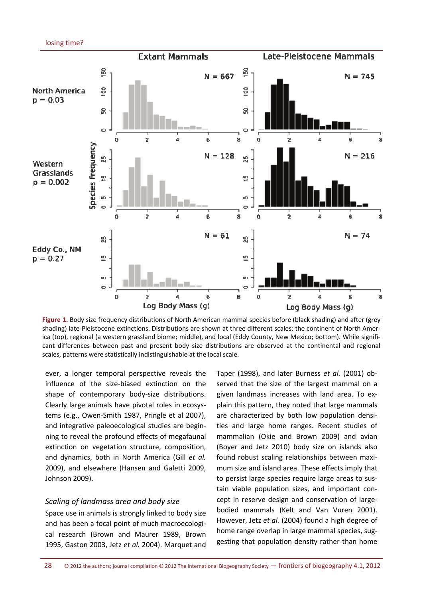

**Figure 1.** Body size frequency distributions of North American mammal species before (black shading) and after (grey shading) late-Pleistocene extinctions. Distributions are shown at three different scales: the continent of North America (top), regional (a western grassland biome; middle), and local (Eddy County, New Mexico; bottom). While signifi‐ cant differences between past and present body size distributions are observed at the continental and regional scales, patterns were statistically indistinguishable at the local scale.

ever, a longer temporal perspective reveals the influence of the size‐biased extinction on the shape of contemporary body‐size distributions. Clearly large animals have pivotal roles in ecosys‐ tems (e.g., Owen‐Smith 1987, Pringle et al 2007), and integrative paleoecological studies are begin‐ ning to reveal the profound effects of megafaunal extinction on vegetation structure, composition, and dynamics, both in North America (Gill *et al.* 2009), and elsewhere (Hansen and Galetti 2009, Johnson 2009).

#### *Scaling of landmass area and body size*

Space use in animals is strongly linked to body size and has been a focal point of much macroecologi‐ cal research (Brown and Maurer 1989, Brown 1995, Gaston 2003, Jetz *et al.* 2004). Marquet and

Taper (1998), and later Burness *et al.* (2001) ob‐ served that the size of the largest mammal on a given landmass increases with land area. To ex‐ plain this pattern, they noted that large mammals are characterized by both low population densities and large home ranges. Recent studies of mammalian (Okie and Brown 2009) and avian (Boyer and Jetz 2010) body size on islands also found robust scaling relationships between maxi‐ mum size and island area. These effects imply that to persist large species require large areas to sus‐ tain viable population sizes, and important con‐ cept in reserve design and conservation of large‐ bodied mammals (Kelt and Van Vuren 2001). However, Jetz *et al.* (2004) found a high degree of home range overlap in large mammal species, suggesting that population density rather than home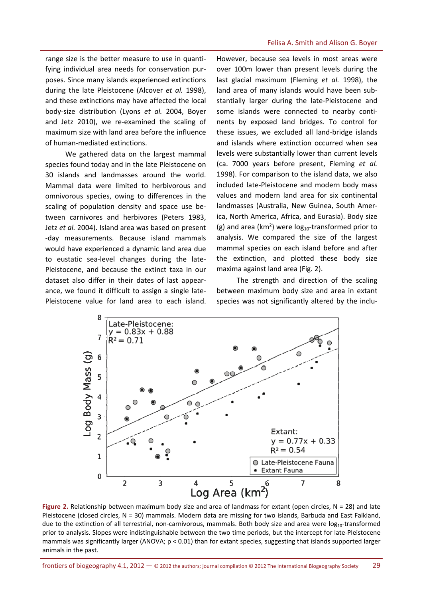range size is the better measure to use in quanti‐ fying individual area needs for conservation pur‐ poses. Since many islands experienced extinctions during the late Pleistocene (Alcover *et al.* 1998), and these extinctions may have affected the local body‐size distribution (Lyons *et al.* 2004, Boyer and Jetz 2010), we re‐examined the scaling of maximum size with land area before the influence of human‐mediated extinctions.

We gathered data on the largest mammal species found today and in the late Pleistocene on 30 islands and landmasses around the world. Mammal data were limited to herbivorous and omnivorous species, owing to differences in the scaling of population density and space use be‐ tween carnivores and herbivores (Peters 1983, Jetz *et al.* 2004). Island area was based on present ‐day measurements. Because island mammals would have experienced a dynamic land area due to eustatic sea‐level changes during the late‐ Pleistocene, and because the extinct taxa in our dataset also differ in their dates of last appear‐ ance, we found it difficult to assign a single late‐ Pleistocene value for land area to each island.

However, because sea levels in most areas were over 100m lower than present levels during the last glacial maximum (Fleming *et al.* 1998), the land area of many islands would have been sub‐ stantially larger during the late‐Pleistocene and some islands were connected to nearby continents by exposed land bridges. To control for these issues, we excluded all land‐bridge islands and islands where extinction occurred when sea levels were substantially lower than current levels (ca. 7000 years before present, Fleming *et al.* 1998). For comparison to the island data, we also included late‐Pleistocene and modern body mass values and modern land area for six continental landmasses (Australia, New Guinea, South Amer‐ ica, North America, Africa, and Eurasia). Body size (g) and area (km<sup>2</sup>) were  $log_{10}$ -transformed prior to analysis. We compared the size of the largest mammal species on each island before and after the extinction, and plotted these body size maxima against land area (Fig. 2).

The strength and direction of the scaling between maximum body size and area in extant species was not significantly altered by the inclu-



**Figure 2.** Relationship between maximum body size and area of landmass for extant (open circles, N = 28) and late Pleistocene (closed circles, N = 30) mammals. Modern data are missing for two islands, Barbuda and East Falkland, due to the extinction of all terrestrial, non-carnivorous, mammals. Both body size and area were log<sub>10</sub>-transformed prior to analysis. Slopes were indistinguishable between the two time periods, but the intercept for late‐Pleistocene mammals was significantly larger (ANOVA;  $p < 0.01$ ) than for extant species, suggesting that islands supported larger animals in the past.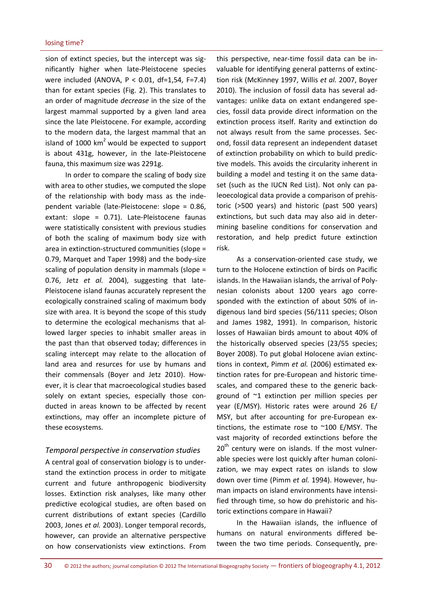sion of extinct species, but the intercept was significantly higher when late‐Pleistocene species were included (ANOVA, P < 0.01, df=1,54, F=7.4) than for extant species (Fig. 2). This translates to an order of magnitude *decrease* in the size of the largest mammal supported by a given land area since the late Pleistocene. For example, according to the modern data, the largest mammal that an island of 1000  $km^2$  would be expected to support is about 431g, however, in the late‐Pleistocene fauna, this maximum size was 2291g.

In order to compare the scaling of body size with area to other studies, we computed the slope of the relationship with body mass as the inde‐ pendent variable (late‐Pleistocene: slope = 0.86, extant: slope = 0.71). Late‐Pleistocene faunas were statistically consistent with previous studies of both the scaling of maximum body size with area in extinction‐structured communities (slope = 0.79, Marquet and Taper 1998) and the body‐size scaling of population density in mammals (slope = 0.76, Jetz *et al.* 2004), suggesting that late‐ Pleistocene island faunas accurately represent the ecologically constrained scaling of maximum body size with area. It is beyond the scope of this study to determine the ecological mechanisms that al‐ lowed larger species to inhabit smaller areas in the past than that observed today; differences in scaling intercept may relate to the allocation of land area and resurces for use by humans and their commensals (Boyer and Jetz 2010). How‐ ever, it is clear that macroecological studies based solely on extant species, especially those conducted in areas known to be affected by recent extinctions, may offer an incomplete picture of these ecosystems.

### *Temporal perspective in conservation studies*

A central goal of conservation biology is to under‐ stand the extinction process in order to mitigate current and future anthropogenic biodiversity losses. Extinction risk analyses, like many other predictive ecological studies, are often based on current distributions of extant species (Cardillo 2003, Jones *et al.* 2003). Longer temporal records, however, can provide an alternative perspective on how conservationists view extinctions. From

this perspective, near‐time fossil data can be in‐ valuable for identifying general patterns of extinc‐ tion risk (McKinney 1997, Willis *et al.* 2007, Boyer 2010). The inclusion of fossil data has several ad‐ vantages: unlike data on extant endangered spe‐ cies, fossil data provide direct information on the extinction process itself. Rarity and extinction do not always result from the same processes. Sec‐ ond, fossil data represent an independent dataset of extinction probability on which to build predic‐ tive models. This avoids the circularity inherent in building a model and testing it on the same data‐ set (such as the IUCN Red List). Not only can paleoecological data provide a comparison of prehis‐ toric (>500 years) and historic (past 500 years) extinctions, but such data may also aid in deter‐ mining baseline conditions for conservation and restoration, and help predict future extinction risk.

As a conservation‐oriented case study, we turn to the Holocene extinction of birds on Pacific islands. In the Hawaiian islands, the arrival of Poly‐ nesian colonists about 1200 years ago corre‐ sponded with the extinction of about 50% of in‐ digenous land bird species (56/111 species; Olson and James 1982, 1991). In comparison, historic losses of Hawaiian birds amount to about 40% of the historically observed species (23/55 species; Boyer 2008). To put global Holocene avian extinc‐ tions in context, Pimm *et al.* (2006) estimated ex‐ tinction rates for pre‐European and historic time‐ scales, and compared these to the generic back‐ ground of ~1 extinction per million species per year (E/MSY). Historic rates were around 26 E/ MSY, but after accounting for pre‐European ex‐ tinctions, the estimate rose to ~100 E/MSY. The vast majority of recorded extinctions before the  $20<sup>th</sup>$  century were on islands. If the most vulnerable species were lost quickly after human coloni‐ zation, we may expect rates on islands to slow down over time (Pimm *et al.* 1994). However, hu‐ man impacts on island environments have intensi‐ fied through time, so how do prehistoric and his‐ toric extinctions compare in Hawaii?

In the Hawaiian islands, the influence of humans on natural environments differed be‐ tween the two time periods. Consequently, pre‐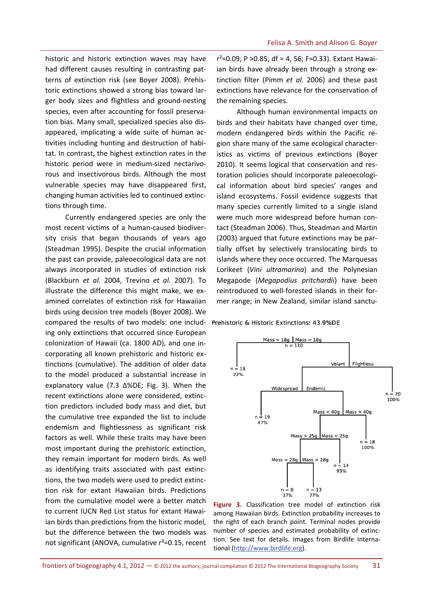historic and historic extinction waves may have had different causes resulting in contrasting pat‐ terns of extinction risk (see Boyer 2008). Prehis‐ toric extinctions showed a strong bias toward lar‐ ger body sizes and flightless and ground‐nesting species, even after accounting for fossil preservation bias. Many small, specialized species also dis‐ appeared, implicating a wide suite of human ac‐ tivities including hunting and destruction of habi‐ tat. In contrast, the highest extinction rates in the historic period were in medium‐sized nectarivo‐ rous and insectivorous birds. Although the most vulnerable species may have disappeared first, changing human activities led to continued extinc‐ tions through time.

Currently endangered species are only the most recent victims of a human‐caused biodiver‐ sity crisis that began thousands of years ago (Steadman 1995). Despite the crucial information the past can provide, paleoecological data are not always incorporated in studies of extinction risk (Blackburn *et al.* 2004, Trevino *et al.* 2007). To illustrate the difference this might make, we ex‐ amined correlates of extinction risk for Hawaiian birds using decision tree models (Boyer 2008). We compared the results of two models: one includ- Prehistoric & Historic Extinctions: 43.9%DE ing only extinctions that occurred since European colonization of Hawaii (ca. 1800 AD), and one in‐ corporating all known prehistoric and historic ex‐ tinctions (cumulative). The addition of older data to the model produced a substantial increase in explanatory value (7.3 Δ%DE; Fig. 3). When the recent extinctions alone were considered, extinc‐ tion predictors included body mass and diet, but the cumulative tree expanded the list to include endemism and flightlessness as significant risk factors as well. While these traits may have been most important during the prehistoric extinction, they remain important for modern birds. As well as identifying traits associated with past extinc‐ tions, the two models were used to predict extinc‐ tion risk for extant Hawaiian birds. Predictions from the cumulative model were a better match to current IUCN Red List status for extant Hawai‐ ian birds than predictions from the historic model, but the difference between the two models was not significant (ANOVA, cumulative r<sup>2</sup>=0.15, recent

 $r^2$ =0.09; P >0.85; df = 4, 56; F=0.33). Extant Hawaiian birds have already been through a strong extinction filter (Pimm *et al.* 2006) and these past extinctions have relevance for the conservation of the remaining species.

Although human environmental impacts on birds and their habitats have changed over time, modern endangered birds within the Pacific re‐ gion share many of the same ecological character‐ istics as victims of previous extinctions (Boyer 2010). It seems logical that conservation and res‐ toration policies should incorporate paleoecologi‐ cal information about bird species' ranges and island ecosystems. Fossil evidence suggests that many species currently limited to a single island were much more widespread before human contact (Steadman 2006). Thus, Steadman and Martin (2003) argued that future extinctions may be par‐ tially offset by selectively translocating birds to islands where they once occurred. The Marquesas Lorikeet (*Vini ultramarina*) and the Polynesian Megapode (*Megapodius pritchardii*) have been reintroduced to well‐forested islands in their for‐ mer range; in New Zealand, similar island sanctu‐



**Figure 3.** Classification tree model of extinction risk among Hawaiian birds. Extinction probability increases to the right of each branch point. Terminal nodes provide number of species and estimated probability of extinc‐ tion. See text for details. Images from Birdlife Interna‐ tional (<http://www.birdlife.org>).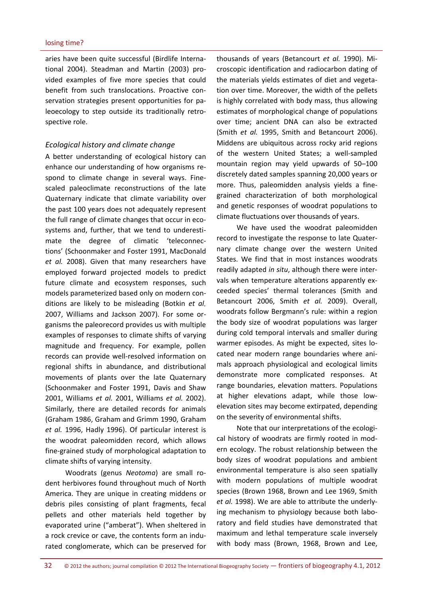aries have been quite successful (Birdlife Interna‐ tional 2004). Steadman and Martin (2003) pro‐ vided examples of five more species that could benefit from such translocations. Proactive con‐ servation strategies present opportunities for pa‐ leoecology to step outside its traditionally retro‐ spective role.

#### *Ecological history and climate change*

A better understanding of ecological history can enhance our understanding of how organisms re‐ spond to climate change in several ways. Finescaled paleoclimate reconstructions of the late Quaternary indicate that climate variability over the past 100 years does not adequately represent the full range of climate changes that occur in eco‐ systems and, further, that we tend to underesti‐ mate the degree of climatic 'teleconnections' (Schoonmaker and Foster 1991, MacDonald *et al.* 2008). Given that many researchers have employed forward projected models to predict future climate and ecosystem responses, such models parameterized based only on modern con‐ ditions are likely to be misleading (Botkin *et al.* 2007, Williams and Jackson 2007). For some or‐ ganisms the paleorecord provides us with multiple examples of responses to climate shifts of varying magnitude and frequency. For example, pollen records can provide well‐resolved information on regional shifts in abundance, and distributional movements of plants over the late Quaternary (Schoonmaker and Foster 1991, Davis and Shaw 2001, Williams *et al.* 2001, Williams *et al.* 2002). Similarly, there are detailed records for animals (Graham 1986, Graham and Grimm 1990, Graham *et al.* 1996, Hadly 1996). Of particular interest is the woodrat paleomidden record, which allows fine‐grained study of morphological adaptation to climate shifts of varying intensity.

Woodrats (genus *Neotoma*) are small ro‐ dent herbivores found throughout much of North America. They are unique in creating middens or debris piles consisting of plant fragments, fecal pellets and other materials held together by evaporated urine ("amberat"). When sheltered in a rock crevice or cave, the contents form an indu‐ rated conglomerate, which can be preserved for thousands of years (Betancourt *et al.* 1990). Mi‐ croscopic identification and radiocarbon dating of the materials yields estimates of diet and vegeta‐ tion over time. Moreover, the width of the pellets is highly correlated with body mass, thus allowing estimates of morphological change of populations over time; ancient DNA can also be extracted (Smith *et al.* 1995, Smith and Betancourt 2006). Middens are ubiquitous across rocky arid regions of the western United States; a well‐sampled mountain region may yield upwards of 50–100 discretely dated samples spanning 20,000 years or more. Thus, paleomidden analysis yields a fine‐ grained characterization of both morphological and genetic responses of woodrat populations to climate fluctuations over thousands of years.

We have used the woodrat paleomidden record to investigate the response to late Quater‐ nary climate change over the western United States. We find that in most instances woodrats readily adapted *in situ*, although there were inter‐ vals when temperature alterations apparently exceeded species' thermal tolerances (Smith and Betancourt 2006, Smith *et al.* 2009). Overall, woodrats follow Bergmann's rule: within a region the body size of woodrat populations was larger during cold temporal intervals and smaller during warmer episodes. As might be expected, sites located near modern range boundaries where ani‐ mals approach physiological and ecological limits demonstrate more complicated responses. At range boundaries, elevation matters. Populations at higher elevations adapt, while those low‐ elevation sites may become extirpated, depending on the severity of environmental shifts.

Note that our interpretations of the ecologi‐ cal history of woodrats are firmly rooted in modern ecology. The robust relationship between the body sizes of woodrat populations and ambient environmental temperature is also seen spatially with modern populations of multiple woodrat species (Brown 1968, Brown and Lee 1969, Smith *et al.* 1998). We are able to attribute the underly‐ ing mechanism to physiology because both labo‐ ratory and field studies have demonstrated that maximum and lethal temperature scale inversely with body mass (Brown, 1968, Brown and Lee,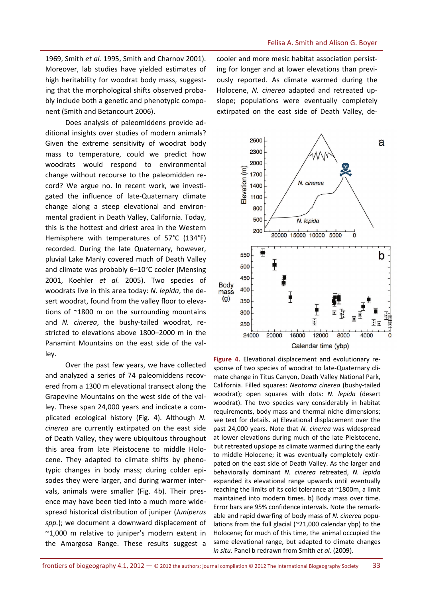1969, Smith *et al.* 1995, Smith and Charnov 2001). Moreover, lab studies have yielded estimates of high heritability for woodrat body mass, suggest‐ ing that the morphological shifts observed proba‐ bly include both a genetic and phenotypic compo‐ nent (Smith and Betancourt 2006).

 Does analysis of paleomiddens provide ad‐ ditional insights over studies of modern animals? Given the extreme sensitivity of woodrat body mass to temperature, could we predict how woodrats would respond to environmental change without recourse to the paleomidden re‐ cord? We argue no. In recent work, we investi‐ gated the influence of late‐Quaternary climate change along a steep elevational and environ‐ mental gradient in Death Valley, California. Today, this is the hottest and driest area in the Western Hemisphere with temperatures of 57°C (134°F) recorded. During the late Quaternary, however, pluvial Lake Manly covered much of Death Valley and climate was probably 6–10°C cooler (Mensing 2001, Koehler *et al.* 2005). Two species of woodrats live in this area today: *N. lepida*, the de‐ sert woodrat, found from the valley floor to eleva‐ tions of ~1800 m on the surrounding mountains and *N. cinerea*, the bushy-tailed woodrat, restricted to elevations above 1800–2000 m in the Panamint Mountains on the east side of the val‐ ley.

Over the past few years, we have collected and analyzed a series of 74 paleomiddens recov‐ ered from a 1300 m elevational transect along the Grapevine Mountains on the west side of the val‐ ley. These span 24,000 years and indicate a com‐ plicated ecological history (Fig. 4). Although *N. cinerea* are currently extirpated on the east side of Death Valley, they were ubiquitous throughout this area from late Pleistocene to middle Holo‐ cene. They adapted to climate shifts by pheno‐ typic changes in body mass; during colder epi‐ sodes they were larger, and during warmer inter‐ vals, animals were smaller (Fig. 4b). Their pres‐ ence may have been tied into a much more wide‐ spread historical distribution of juniper (*Juniperus spp.*); we document a downward displacement of ~1,000 m relative to juniper's modern extent in the Amargosa Range. These results suggest a

cooler and more mesic habitat association persist‐ ing for longer and at lower elevations than previ‐ ously reported. As climate warmed during the Holocene, *N. cinerea* adapted and retreated up‐ slope; populations were eventually completely extirpated on the east side of Death Valley, de‐



**Figure 4.** Elevational displacement and evolutionary re‐ sponse of two species of woodrat to late‐Quaternary cli‐ mate change in Titus Canyon, Death Valley National Park, California. Filled squares: *Neotoma cinerea* (bushy‐tailed woodrat); open squares with dots: *N. lepida* (desert woodrat). The two species vary considerably in habitat requirements, body mass and thermal niche dimensions; see text for details. a) Elevational displacement over the past 24,000 years. Note that *N. cinerea* was widespread at lower elevations during much of the late Pleistocene, but retreated upslope as climate warmed during the early to middle Holocene; it was eventually completely extir‐ pated on the east side of Death Valley. As the larger and behaviorally dominant *N. cinerea* retreated, *N. lepida* expanded its elevational range upwards until eventually reaching the limits of its cold tolerance at ~1800m, a limit maintained into modern times. b) Body mass over time. Error bars are 95% confidence intervals. Note the remark‐ able and rapid dwarfing of body mass of *N. cinerea* popu‐ lations from the full glacial (~21,000 calendar ybp) to the Holocene; for much of this time, the animal occupied the same elevational range, but adapted to climate changes *in situ*. Panel b redrawn from Smith *et al.* (2009).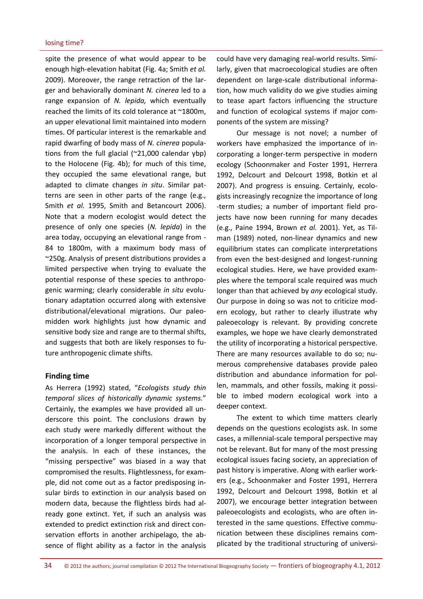spite the presence of what would appear to be enough high‐elevation habitat (Fig. 4a; Smith *et al.* 2009). Moreover, the range retraction of the lar‐ ger and behaviorally dominant *N. cinerea* led to a range expansion of *N. lepida,* which eventually reached the limits of its cold tolerance at ~1800m, an upper elevational limit maintained into modern times. Of particular interest is the remarkable and rapid dwarfing of body mass of *N. cinerea* popula‐ tions from the full glacial (~21,000 calendar ybp) to the Holocene (Fig. 4b); for much of this time, they occupied the same elevational range, but adapted to climate changes *in situ*. Similar pat‐ terns are seen in other parts of the range (e.g., Smith *et al.* 1995, Smith and Betancourt 2006). Note that a modern ecologist would detect the presence of only one species (*N. lepida*) in the area today, occupying an elevational range from ‐ 84 to 1800m, with a maximum body mass of ~250g. Analysis of present distributions provides a limited perspective when trying to evaluate the potential response of these species to anthropo‐ genic warming; clearly considerable *in situ* evolu‐ tionary adaptation occurred along with extensive distributional/elevational migrations. Our paleo‐ midden work highlights just how dynamic and sensitive body size and range are to thermal shifts, and suggests that both are likely responses to fu‐ ture anthropogenic climate shifts.

### **Finding time**

As Herrera (1992) stated, "*Ecologists study thin temporal slices of historically dynamic systems.*" Certainly, the examples we have provided all un‐ derscore this point. The conclusions drawn by each study were markedly different without the incorporation of a longer temporal perspective in the analysis. In each of these instances, the "missing perspective" was biased in a way that compromised the results. Flightlessness, for exam‐ ple, did not come out as a factor predisposing in‐ sular birds to extinction in our analysis based on modern data, because the flightless birds had al‐ ready gone extinct. Yet, if such an analysis was extended to predict extinction risk and direct con‐ servation efforts in another archipelago, the absence of flight ability as a factor in the analysis

could have very damaging real‐world results. Simi‐ larly, given that macroecological studies are often dependent on large‐scale distributional informa‐ tion, how much validity do we give studies aiming to tease apart factors influencing the structure and function of ecological systems if major com‐ ponents of the system are missing?

Our message is not novel; a number of workers have emphasized the importance of in‐ corporating a longer‐term perspective in modern ecology (Schoonmaker and Foster 1991, Herrera 1992, Delcourt and Delcourt 1998, Botkin et al 2007). And progress is ensuing. Certainly, ecolo‐ gists increasingly recognize the importance of long ‐term studies; a number of important field pro‐ jects have now been running for many decades (e.g., Paine 1994, Brown *et al.* 2001). Yet, as Til‐ man (1989) noted, non-linear dynamics and new equilibrium states can complicate interpretations from even the best-designed and longest-running ecological studies. Here, we have provided exam‐ ples where the temporal scale required was much longer than that achieved by *any* ecological study. Our purpose in doing so was not to criticize mod‐ ern ecology, but rather to clearly illustrate why paleoecology is relevant. By providing concrete examples, we hope we have clearly demonstrated the utility of incorporating a historical perspective. There are many resources available to do so; nu‐ merous comprehensive databases provide paleo distribution and abundance information for pol‐ len, mammals, and other fossils, making it possi‐ ble to imbed modern ecological work into a deeper context.

The extent to which time matters clearly depends on the questions ecologists ask. In some cases, a millennial‐scale temporal perspective may not be relevant. But for many of the most pressing ecological issues facing society, an appreciation of past history is imperative. Along with earlier work‐ ers (e.g., Schoonmaker and Foster 1991, Herrera 1992, Delcourt and Delcourt 1998, Botkin et al 2007), we encourage better integration between paleoecologists and ecologists, who are often in‐ terested in the same questions. Effective commu‐ nication between these disciplines remains com‐ plicated by the traditional structuring of universi‐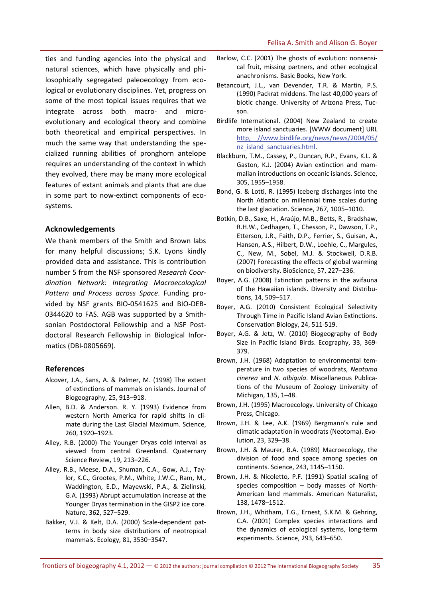ties and funding agencies into the physical and natural sciences, which have physically and phi‐ losophically segregated paleoecology from eco‐ logical or evolutionary disciplines. Yet, progress on some of the most topical issues requires that we integrate across both macro‐ and micro‐ evolutionary and ecological theory and combine both theoretical and empirical perspectives. In much the same way that understanding the spe‐ cialized running abilities of pronghorn antelope requires an understanding of the context in which they evolved, there may be many more ecological features of extant animals and plants that are due in some part to now‐extinct components of eco‐ systems.

# **Acknowledgements**

We thank members of the Smith and Brown labs for many helpful discussions; S.K. Lyons kindly provided data and assistance. This is contribution number 5 from the NSF sponsored *Research Coor‐ dination Network: Integrating Macroecological Pattern and Process across Space*. Funding pro‐ vided by NSF grants BIO‐0541625 and BIO‐DEB‐ 0344620 to FAS. AGB was supported by a Smith‐ sonian Postdoctoral Fellowship and a NSF Post‐ doctoral Research Fellowship in Biological Infor‐ matics (DBI‐0805669).

#### **References**

- Alcover, J.A., Sans, A. & Palmer, M. (1998) The extent of extinctions of mammals on islands. Journal of Biogeography, 25, 913–918.
- Allen, B.D. & Anderson. R. Y. (1993) Evidence from western North America for rapid shifts in climate during the Last Glacial Maximum. Science, 260, 1920–1923.
- Alley, R.B. (2000) The Younger Dryas cold interval as viewed from central Greenland. Quaternary Science Review, 19, 213–226.
- Alley, R.B., Meese, D.A., Shuman, C.A., Gow, A.J., Tay‐ lor, K.C., Grootes, P.M., White, J.W.C., Ram, M., Waddington, E.D., Mayewski, P.A., & Zielinski, G.A. (1993) Abrupt accumulation increase at the Younger Dryas termination in the GISP2 ice core. Nature, 362, 527–529.
- Bakker, V.J. & Kelt, D.A. (2000) Scale‐dependent pat‐ terns in body size distributions of neotropical mammals. Ecology, 81, 3530–3547.
- Barlow, C.C. (2001) The ghosts of evolution: nonsensi‐ cal fruit, missing partners, and other ecological anachronisms. Basic Books, New York.
- Betancourt, J.L., van Devender, T.R. & Martin, P.S. (1990) Packrat middens. The last 40,000 years of biotic change. University of Arizona Press, Tuc‐ son.
- Birdlife International. (2004) New Zealand to create more island sanctuaries. [WWW document] URL http, [//www.birdlife.org/news/news/2004/05/](http://www.birdlife.org/news/news/2004/05/nz_island_sanctuaries.html) [nz\\_island\\_sanctuaries.html](http://www.birdlife.org/news/news/2004/05/nz_island_sanctuaries.html).
- Blackburn, T.M., Cassey, P., Duncan, R.P., Evans, K.L. & Gaston, K.J. (2004) Avian extinction and mam‐ malian introductions on oceanic islands. Science, 305, 1955–1958.
- Bond, G. & Lotti, R. (1995) Iceberg discharges into the North Atlantic on millennial time scales during the last glaciation. Science, 267, 1005–1010.
- Botkin, D.B., Saxe, H., Araújo, M.B., Betts, R., Bradshaw, R.H.W., Cedhagen, T., Chesson, P., Dawson, T.P., Etterson, J.R., Faith, D.P., Ferrier, S., Guisan, A., Hansen, A.S., Hilbert, D.W., Loehle, C., Margules, C., New, M., Sobel, M.J. & Stockwell, D.R.B. (2007) Forecasting the effects of global warming on biodiversity. BioScience, 57, 227–236.
- Boyer, A.G. (2008) Extinction patterns in the avifauna of the Hawaiian islands. Diversity and Distribu‐ tions, 14, 509–517.
- Boyer, A.G. (2010) Consistent Ecological Selectivity Through Time in Pacific Island Avian Extinctions. Conservation Biology, 24, 511‐519.
- Boyer, A.G. & Jetz, W. (2010) Biogeography of Body Size in Pacific Island Birds. Ecography, 33, 369‐ 379.
- Brown, J.H. (1968) Adaptation to environmental tem‐ perature in two species of woodrats, *Neotoma cinerea* and *N. albigula*. Miscellaneous Publica‐ tions of the Museum of Zoology University of Michigan, 135, 1–48.
- Brown, J.H. (1995) Macroecology. University of Chicago Press, Chicago.
- Brown, J.H. & Lee, A.K. (1969) Bergmann's rule and climatic adaptation in woodrats (Neotoma). Evo‐ lution, 23, 329–38.
- Brown, J.H. & Maurer, B.A. (1989) Macroecology, the division of food and space among species on continents. Science, 243, 1145–1150.
- Brown, J.H. & Nicoletto, P.F. (1991) Spatial scaling of species composition – body masses of North-American land mammals. American Naturalist, 138, 1478–1512.
- Brown, J.H., Whitham, T.G., Ernest, S.K.M. & Gehring, C.A. (2001) Complex species interactions and the dynamics of ecological systems, long‐term experiments. Science, 293, 643–650.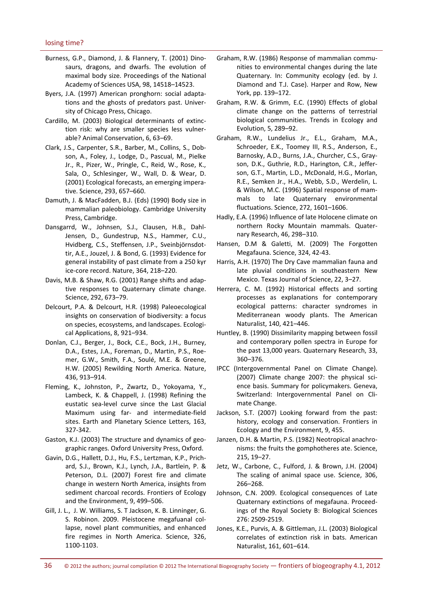- Burness, G.P., Diamond, J. & Flannery, T. (2001) Dino‐ saurs, dragons, and dwarfs. The evolution of maximal body size. Proceedings of the National Academy of Sciences USA, 98, 14518–14523.
- Byers, J.A. (1997) American pronghorn: social adapta‐ tions and the ghosts of predators past. Univer‐ sity of Chicago Press, Chicago.
- Cardillo, M. (2003) Biological determinants of extinc‐ tion risk: why are smaller species less vulner‐ able? Animal Conservation, 6, 63–69.
- Clark, J.S., Carpenter, S.R., Barber, M., Collins, S., Dob‐ son, A., Foley, J., Lodge, D., Pascual, M., Pielke Jr., R., Pizer, W., Pringle, C., Reid, W., Rose, K., Sala, O., Schlesinger, W., Wall, D. & Wear, D. (2001) Ecological forecasts, an emerging impera‐ tive. Science, 293, 657–660.
- Damuth, J. & MacFadden, B.J. (Eds) (1990) Body size in mammalian paleobiology. Cambridge University Press, Cambridge.
- Dansgarrd, W., Johnsen, S.J., Clausen, H.B., Dahl‐ Jensen, D., Gundestrup, N.S., Hammer, C.U., Hvidberg, C.S., Steffensen, J.P., Sveinbjörnsdot‐ tir, A.E., Jouzel, J. & Bond, G. (1993) Evidence for general instability of past climate from a 250 kyr ice‐core record. Nature, 364, 218–220.
- Davis, M.B. & Shaw, R.G. (2001) Range shifts and adap‐ tive responses to Quaternary climate change. Science, 292, 673–79.
- Delcourt, P.A. & Delcourt, H.R. (1998) Paleoecological insights on conservation of biodiversity: a focus on species, ecosystems, and landscapes. Ecologi‐ cal Applications, 8, 921–934.
- Donlan, C.J., Berger, J., Bock, C.E., Bock, J.H., Burney, D.A., Estes, J.A., Foreman, D., Martin, P.S., Roe‐ mer, G.W., Smith, F.A., Soulé, M.E. & Greene, H.W. (2005) Rewilding North America. Nature, 436, 913–914.
- Fleming, K., Johnston, P., Zwartz, D., Yokoyama, Y., Lambeck, K. & Chappell, J. (1998) Refining the eustatic sea‐level curve since the Last Glacial Maximum using far‐ and intermediate‐field sites. Earth and Planetary Science Letters, 163, 327‐342.
- Gaston, K.J. (2003) The structure and dynamics of geo‐ graphic ranges. Oxford University Press, Oxford.
- Gavin, D.G., Hallett, D.J., Hu, F.S., Lertzman, K.P., Prich‐ ard, S.J., Brown, K.J., Lynch, J.A., Bartlein, P. & Peterson, D.L. (2007) Forest fire and climate change in western North America, insights from sediment charcoal records. Frontiers of Ecology and the Environment, 9, 499–506.
- Gill, J. L., J. W. Williams, S. T Jackson, K. B. Linninger, G. S. Robinon. 2009. Pleistocene megafuanal col‐ lapse, novel plant communities, and enhanced fire regimes in North America. Science, 326, 1100‐1103.
- Graham, R.W. (1986) Response of mammalian commu‐ nities to environmental changes during the late Quaternary. In: Community ecology (ed. by J. Diamond and T.J. Case). Harper and Row, New York, pp. 139–172.
- Graham, R.W. & Grimm, E.C. (1990) Effects of global climate change on the patterns of terrestrial biological communities. Trends in Ecology and Evolution, 5, 289–92.
- Graham, R.W., Lundelius Jr., E.L., Graham, M.A., Schroeder, E.K., Toomey III, R.S., Anderson, E., Barnosky, A.D., Burns, J.A., Churcher, C.S., Gray‐ son, D.K., Guthrie, R.D., Harington, C.R., Jeffer‐ son, G.T., Martin, L.D., McDonald, H.G., Morlan, R.E., Semken Jr., H.A., Webb, S.D., Werdelin, L. & Wilson, M.C. (1996) Spatial response of mam‐ mals to late Quaternary environmental fluctuations. Science, 272, 1601–1606.
- Hadly, E.A. (1996) Influence of late Holocene climate on northern Rocky Mountain mammals. Quater‐ nary Research, 46, 298–310.
- Hansen, D.M & Galetti, M. (2009) The Forgotten Megafauna. Science, 324, 42‐43.
- Harris, A.H. (1970) The Dry Cave mammalian fauna and late pluvial conditions in southeastern New Mexico. Texas Journal of Science, 22, 3–27.
- Herrera, C. M. (1992) Historical effects and sorting processes as explanations for contemporary ecological patterns: character syndromes in Mediterranean woody plants. The American Naturalist, 140, 421–446.
- Huntley, B. (1990) Dissimilarity mapping between fossil and contemporary pollen spectra in Europe for the past 13,000 years. Quaternary Research, 33, 360–376.
- IPCC (Intergovernmental Panel on Climate Change). (2007) Climate change 2007: the physical sci‐ ence basis. Summary for policymakers. Geneva, Switzerland: Intergovernmental Panel on Cli‐ mate Change.
- Jackson, S.T. (2007) Looking forward from the past: history, ecology and conservation. Frontiers in Ecology and the Environment, 9, 455.
- Janzen, D.H. & Martin, P.S. (1982) Neotropical anachro‐ nisms: the fruits the gomphotheres ate. Science, 215, 19–27.
- Jetz, W., Carbone, C., Fulford, J. & Brown, J.H. (2004) The scaling of animal space use. Science, 306, 266–268.
- Johnson, C.N. 2009. Ecological consequences of Late Quaternary extinctions of megafauna. Proceed‐ ings of the Royal Society B: Biological Sciences 276: 2509‐2519.
- Jones, K.E., Purvis, A. & Gittleman, J.L. (2003) Biological correlates of extinction risk in bats. American Naturalist, 161, 601–614.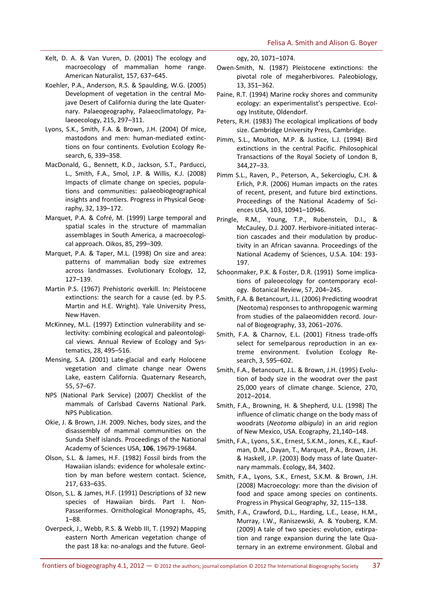- Kelt, D. A. & Van Vuren, D. (2001) The ecology and macroecology of mammalian home range. American Naturalist, 157, 637–645.
- Koehler, P.A., Anderson, R.S. & Spaulding, W.G. (2005) Development of vegetation in the central Mo‐ jave Desert of California during the late Quater‐ nary. Palaeogeography, Palaeoclimatology, Pa‐ laeoecology, 215, 297–311.
- Lyons, S.K., Smith, F.A. & Brown, J.H. (2004) Of mice, mastodons and men: human‐mediated extinc‐ tions on four continents. Evolution Ecology Re‐ search, 6, 339–358.
- MacDonald, G., Bennett, K.D., Jackson, S.T., Parducci, L., Smith, F.A., Smol, J.P. & Willis, K.J. (2008) Impacts of climate change on species, popula‐ tions and communities: palaeobiogeographical insights and frontiers. Progress in Physical Geog‐ raphy, 32, 139–172.
- Marquet, P.A. & Cofré, M. (1999) Large temporal and spatial scales in the structure of mammalian assemblages in South America, a macroecologi‐ cal approach. Oikos, 85, 299–309.
- Marquet, P.A. & Taper, M.L. (1998) On size and area: patterns of mammalian body size extremes across landmasses. Evolutionary Ecology, 12, 127–139.
- Martin P.S. (1967) Prehistoric overkill. In: Pleistocene extinctions: the search for a cause (ed. by P.S. Martin and H.E. Wright). Yale University Press, New Haven.
- McKinney, M.L. (1997) Extinction vulnerability and se‐ lectivity: combining ecological and paleontologi‐ cal views. Annual Review of Ecology and Systematics, 28, 495–516.
- Mensing, S.A. (2001) Late‐glacial and early Holocene vegetation and climate change near Owens Lake, eastern California. Quaternary Research, 55, 57–67.
- NPS (National Park Service) (2007) Checklist of the mammals of Carlsbad Caverns National Park. NPS Publication.
- Okie, J. & Brown, J.H. 2009. Niches, body sizes, and the disassembly of mammal communities on the Sunda Shelf islands. Proceedings of the National Academy of Sciences USA, **106**, 19679‐19684.
- Olson, S.L. & James, H.F. (1982) Fossil birds from the Hawaiian islands: evidence for wholesale extinc‐ tion by man before western contact. Science, 217, 633–635.
- Olson, S.L. & James, H.F. (1991) Descriptions of 32 new species of Hawaiian birds. Part I. Non-Passeriformes. Ornithological Monographs, 45, 1–88.
- Overpeck, J., Webb, R.S. & Webb III, T. (1992) Mapping eastern North American vegetation change of the past 18 ka: no‐analogs and the future. Geol‐

ogy, 20, 1071–1074.

- Owen‐Smith, N. (1987) Pleistocene extinctions: the pivotal role of megaherbivores. Paleobiology, 13, 351–362.
- Paine, R.T. (1994) Marine rocky shores and community ecology: an experimentalist's perspective. Ecol‐ ogy Institute, Oldendorf.
- Peters, R.H. (1983) The ecological implications of body size. Cambridge University Press, Cambridge.
- Pimm, S.L., Moulton, M.P. & Justice, L.J. (1994) Bird extinctions in the central Pacific. Philosophical Transactions of the Royal Society of London B, 344,27–33.
- Pimm S.L., Raven, P., Peterson, A., Sekercioglu, C.H. & Erlich, P.R. (2006) Human impacts on the rates of recent, present, and future bird extinctions. Proceedings of the National Academy of Sci‐ ences USA, 103, 10941–10946.
- Pringle, R.M., Young, T.P., Rubenstein, D.I., & McCauley, D.J. 2007. Herbivore‐initiated interac‐ tion cascades and their modulation by produc‐ tivity in an African savanna. Proceedings of the National Academy of Sciences, U.S.A. 104: 193‐ 197.
- Schoonmaker, P.K. & Foster, D.R. (1991) Some implications of paleoecology for contemporary ecol‐ ogy. Botanical Review, 57, 204–245.
- Smith, F.A. & Betancourt, J.L. (2006) Predicting woodrat (Neotoma) responses to anthropogenic warming from studies of the palaeomidden record. Jour‐ nal of Biogeography, 33, 2061–2076.
- Smith, F.A. & Charnov, E.L. (2001) Fitness trade‐offs select for semelparous reproduction in an extreme environment. Evolution Ecology Re‐ search, 3, 595–602.
- Smith, F.A., Betancourt, J.L. & Brown, J.H. (1995) Evolu‐ tion of body size in the woodrat over the past 25,000 years of climate change. Science, 270, 2012–2014.
- Smith, F.A., Browning, H. & Shepherd, U.L. (1998) The influence of climatic change on the body mass of woodrats (*Neotoma albigula*) in an arid region of New Mexico, USA. Ecography, 21,140–148.
- Smith, F.A., Lyons, S.K., Ernest, S.K.M., Jones, K.E., Kauf‐ man, D.M., Dayan, T., Marquet, P.A., Brown, J.H. & Haskell, J.P. (2003) Body mass of late Quater‐ nary mammals. Ecology, 84, 3402.
- Smith, F.A., Lyons, S.K., Ernest, S.K.M. & Brown, J.H. (2008) Macroecology: more than the division of food and space among species on continents. Progress in Physical Geography, 32, 115–138.
- Smith, F.A., Crawford, D.L., Harding, L.E., Lease, H.M., Murray, I.W., Raniszewski, A. & Youberg, K.M. (2009) A tale of two species: evolution, extirpa‐ tion and range expansion during the late Qua‐ ternary in an extreme environment. Global and